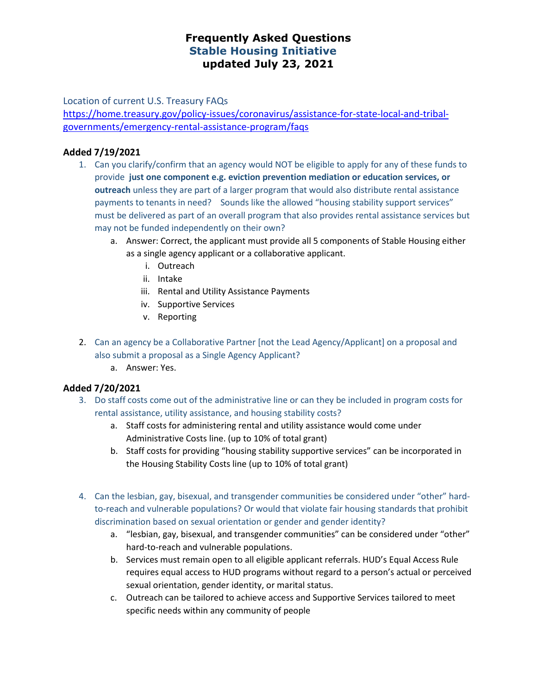## **Frequently Asked Questions Stable Housing Initiative updated July 23, 2021**

Location of current U.S. Treasury FAQs

[https://home.treasury.gov/policy-issues/coronavirus/assistance-for-state-local-and-tribal](https://home.treasury.gov/policy-issues/coronavirus/assistance-for-state-local-and-tribal-governments/emergency-rental-assistance-program/faqs)[governments/emergency-rental-assistance-program/faqs](https://home.treasury.gov/policy-issues/coronavirus/assistance-for-state-local-and-tribal-governments/emergency-rental-assistance-program/faqs)

#### **Added 7/19/2021**

- 1. Can you clarify/confirm that an agency would NOT be eligible to apply for any of these funds to provide **just one component e.g. eviction prevention mediation or education services, or outreach** unless they are part of a larger program that would also distribute rental assistance payments to tenants in need? Sounds like the allowed "housing stability support services" must be delivered as part of an overall program that also provides rental assistance services but may not be funded independently on their own?
	- a. Answer: Correct, the applicant must provide all 5 components of Stable Housing either as a single agency applicant or a collaborative applicant.
		- i. Outreach
		- ii. Intake
		- iii. Rental and Utility Assistance Payments
		- iv. Supportive Services
		- v. Reporting
- 2. Can an agency be a Collaborative Partner [not the Lead Agency/Applicant] on a proposal and also submit a proposal as a Single Agency Applicant?
	- a. Answer: Yes.

#### **Added 7/20/2021**

- 3. Do staff costs come out of the administrative line or can they be included in program costs for rental assistance, utility assistance, and housing stability costs?
	- a. Staff costs for administering rental and utility assistance would come under Administrative Costs line. (up to 10% of total grant)
	- b. Staff costs for providing "housing stability supportive services" can be incorporated in the Housing Stability Costs line (up to 10% of total grant)
- 4. Can the lesbian, gay, bisexual, and transgender communities be considered under "other" hardto-reach and vulnerable populations? Or would that violate fair housing standards that prohibit discrimination based on sexual orientation or gender and gender identity?
	- a. "lesbian, gay, bisexual, and transgender communities" can be considered under "other" hard-to-reach and vulnerable populations.
	- b. Services must remain open to all eligible applicant referrals. HUD's Equal Access Rule requires equal access to HUD programs without regard to a person's actual or perceived sexual orientation, gender identity, or marital status.
	- c. Outreach can be tailored to achieve access and Supportive Services tailored to meet specific needs within any community of people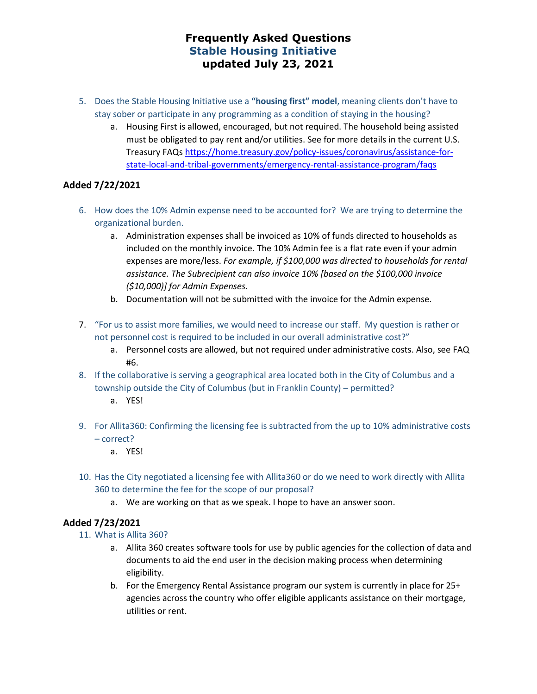# **Frequently Asked Questions Stable Housing Initiative updated July 23, 2021**

- 5. Does the Stable Housing Initiative use a **"housing first" model**, meaning clients don't have to stay sober or participate in any programming as a condition of staying in the housing?
	- a. Housing First is allowed, encouraged, but not required. The household being assisted must be obligated to pay rent and/or utilities. See for more details in the current U.S. Treasury FAQs [https://home.treasury.gov/policy-issues/coronavirus/assistance-for](https://home.treasury.gov/policy-issues/coronavirus/assistance-for-state-local-and-tribal-governments/emergency-rental-assistance-program/faqs)[state-local-and-tribal-governments/emergency-rental-assistance-program/faqs](https://home.treasury.gov/policy-issues/coronavirus/assistance-for-state-local-and-tribal-governments/emergency-rental-assistance-program/faqs)

### **Added 7/22/2021**

- 6. How does the 10% Admin expense need to be accounted for? We are trying to determine the organizational burden.
	- a. Administration expenses shall be invoiced as 10% of funds directed to households as included on the monthly invoice. The 10% Admin fee is a flat rate even if your admin expenses are more/less. *For example, if \$100,000 was directed to households for rental assistance. The Subrecipient can also invoice 10% [based on the \$100,000 invoice (\$10,000)] for Admin Expenses.*
	- b. Documentation will not be submitted with the invoice for the Admin expense.
- 7. "For us to assist more families, we would need to increase our staff. My question is rather or not personnel cost is required to be included in our overall administrative cost?"
	- a. Personnel costs are allowed, but not required under administrative costs. Also, see FAQ #6.
- 8. If the collaborative is serving a geographical area located both in the City of Columbus and a township outside the City of Columbus (but in Franklin County) – permitted?
	- a. YES!
- 9. For Allita360: Confirming the licensing fee is subtracted from the up to 10% administrative costs – correct?
	- a. YES!
- 10. Has the City negotiated a licensing fee with Allita360 or do we need to work directly with Allita 360 to determine the fee for the scope of our proposal?
	- a. We are working on that as we speak. I hope to have an answer soon.

#### **Added 7/23/2021**

- 11. What is Allita 360?
	- a. Allita 360 creates software tools for use by public agencies for the collection of data and documents to aid the end user in the decision making process when determining eligibility.
	- b. For the Emergency Rental Assistance program our system is currently in place for 25+ agencies across the country who offer eligible applicants assistance on their mortgage, utilities or rent.